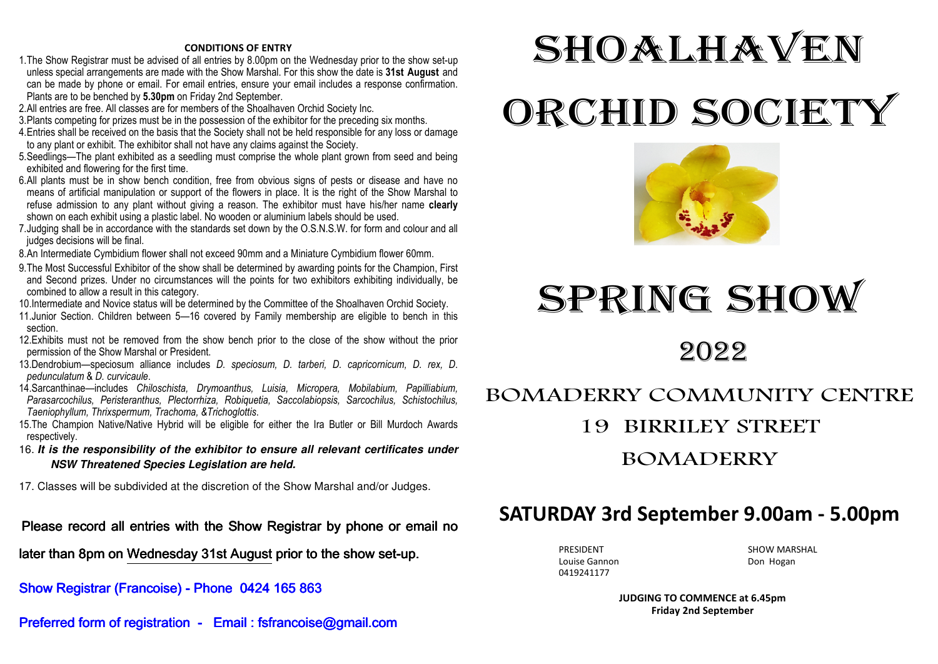#### **CONDITIONS OF ENTRY**

- 1. The Show Registrar must be advised of all entries by 8.00pm on the Wednesday prior to the show set-up unless special arrangements are made with the Show Marshal. For this show the date is **31st August** and can be made by phone or email. For email entries, ensure your email includes a response confirmation. Plants are to be benched by **5.30pm** on Friday 2nd September.
- 2. All entries are free. All classes are for members of the Shoalhaven Orchid Society Inc.
- 3. Plants competing for prizes must be in the possession of the exhibitor for the preceding six months.
- 4. Entries shall be received on the basis that the Society shall not be held responsible for any loss or damage to any plant or exhibit. The exhibitor shall not have any claims against the Society.
- 5. Seedlings—The plant exhibited as a seedling must comprise the whole plant grown from seed and beingexhibited and flowering for the first time.
- 6. All plants must be in show bench condition, free from obvious signs of pests or disease and have no means of artificial manipulation or support of the flowers in place. It is the right of the Show Marshal to refuse admission to any plant without giving a reason. The exhibitor must have his/her name **clearly** shown on each exhibit using a plastic label. No wooden or aluminium labels should be used.
- 7. Judging shall be in accordance with the standards set down by the O.S.N.S.W. for form and colour and all judges decisions will be final.
- 8. An Intermediate Cymbidium flower shall not exceed 90mm and a Miniature Cymbidium flower 60mm.
- 9. The Most Successful Exhibitor of the show shall be determined by awarding points for the Champion, First and Second prizes. Under no circumstances will the points for two exhibitors exhibiting individually, be combined to allow a result in this category.
- 10.Intermediate and Novice status will be determined by the Committee of the Shoalhaven Orchid Society.
- 11.Junior Section. Children between 5—16 covered by Family membership are eligible to bench in this section.
- 12.Exhibits must not be removed from the show bench prior to the close of the show without the prior permission of the Show Marshal or President.
- 13.Dendrobium—speciosum alliance includes *D. speciosum, D. tarberi, D. capricornicum, D. rex, D*. *pedunculatum* & *D. curvicaule*.
- 14.Sarcanthinae—includes *Chiloschista, Drymoanthus, Luisia, Micropera, Mobilabium, Papilliabium, Parasarcochilus, Peristeranthus, Plectorrhiza, Robiquetia, Saccolabiopsis, Sarcochilus, Schistochilus,Taeniophyllum, Thrixspermum, Trachoma, &Trichoglottis*.
- 15.The Champion Native/Native Hybrid will be eligible for either the Ira Butler or Bill Murdoch Awardsrespectively.
- 16. **It is the responsibility of the exhibitor to ensure all relevant certificates under NSW Threatened Species Legislation are held.**
- 17. Classes will be subdivided at the discretion of the Show Marshal and/or Judges.

Please record all entries with the Show Registrar by phone or email no

later than 8pm on Wednesday 31st August prior to the show set-up.

### Show Registrar (Francoise) - Phone 0424 165 863

Preferred form of registration - Email : fsfrancoise@gmail.com

# **SHOALHAVEN** ORCHID SOCIETY



## SPRING SHOW

2022

## BOMADERRY COMMUNITY CENTRE 19 BIRRILEY STREET BOMADERRY

## **SATURDAY 3rd September 9.00am - 5.00pm**

Louise Gannon **Don Hogan** 0419241177

PRESIDENT SHOW MARSHAL

**JUDGING TO COMMENCE at 6.45pm Friday 2nd September**